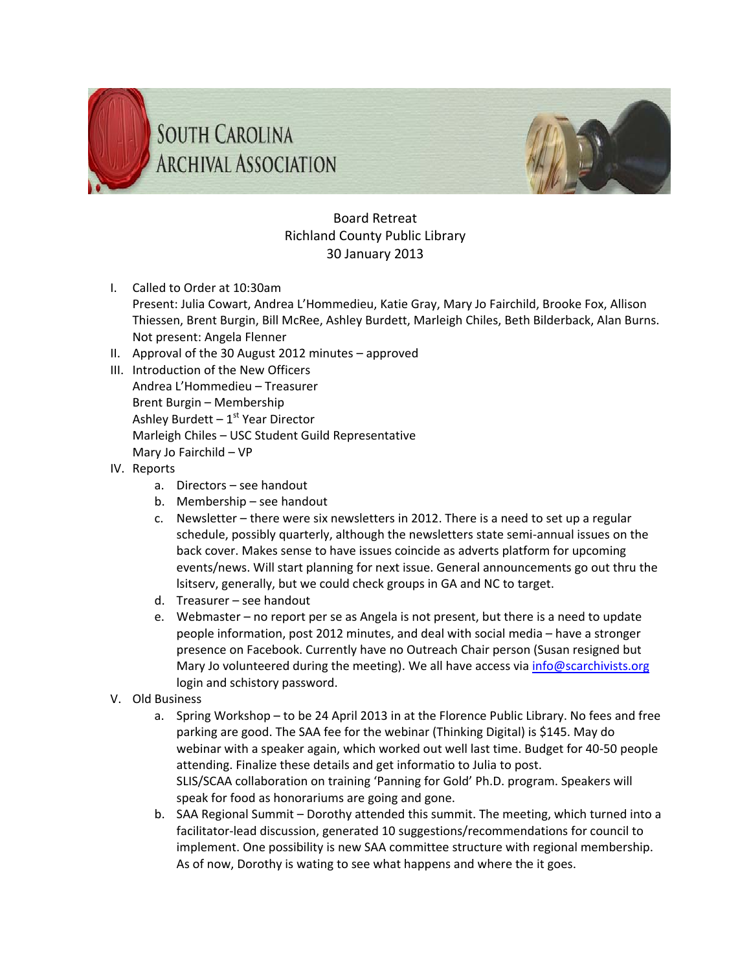



## Board Retreat Richland County Public Library 30 January 2013

- I. Called to Order at 10:30am
	- Present: Julia Cowart, Andrea L'Hommedieu, Katie Gray, Mary Jo Fairchild, Brooke Fox, Allison Thiessen, Brent Burgin, Bill McRee, Ashley Burdett, Marleigh Chiles, Beth Bilderback, Alan Burns. Not present: Angela Flenner
- II. Approval of the 30 August 2012 minutes approved
- III. Introduction of the New Officers Andrea L'Hommedieu – Treasurer Brent Burgin – Membership Ashley Burdett  $-1<sup>st</sup>$  Year Director Marleigh Chiles – USC Student Guild Representative Mary Jo Fairchild – VP
- IV. Reports
	- a. Directors see handout
	- b. Membership see handout
	- c. Newsletter there were six newsletters in 2012. There is a need to set up a regular schedule, possibly quarterly, although the newsletters state semi-annual issues on the back cover. Makes sense to have issues coincide as adverts platform for upcoming events/news. Will start planning for next issue. General announcements go out thru the lsitserv, generally, but we could check groups in GA and NC to target.
	- d. Treasurer see handout
	- e. Webmaster no report per se as Angela is not present, but there is a need to update people information, post 2012 minutes, and deal with social media – have a stronger presence on Facebook. Currently have no Outreach Chair person (Susan resigned but Mary Jo volunteered during the meeting). We all have access via info@scarchivists.org login and schistory password.
- V. Old Business
	- a. Spring Workshop to be 24 April 2013 in at the Florence Public Library. No fees and free parking are good. The SAA fee for the webinar (Thinking Digital) is \$145. May do webinar with a speaker again, which worked out well last time. Budget for 40‐50 people attending. Finalize these details and get informatio to Julia to post. SLIS/SCAA collaboration on training 'Panning for Gold' Ph.D. program. Speakers will speak for food as honorariums are going and gone.
	- b. SAA Regional Summit Dorothy attended this summit. The meeting, which turned into a facilitator‐lead discussion, generated 10 suggestions/recommendations for council to implement. One possibility is new SAA committee structure with regional membership. As of now, Dorothy is wating to see what happens and where the it goes.